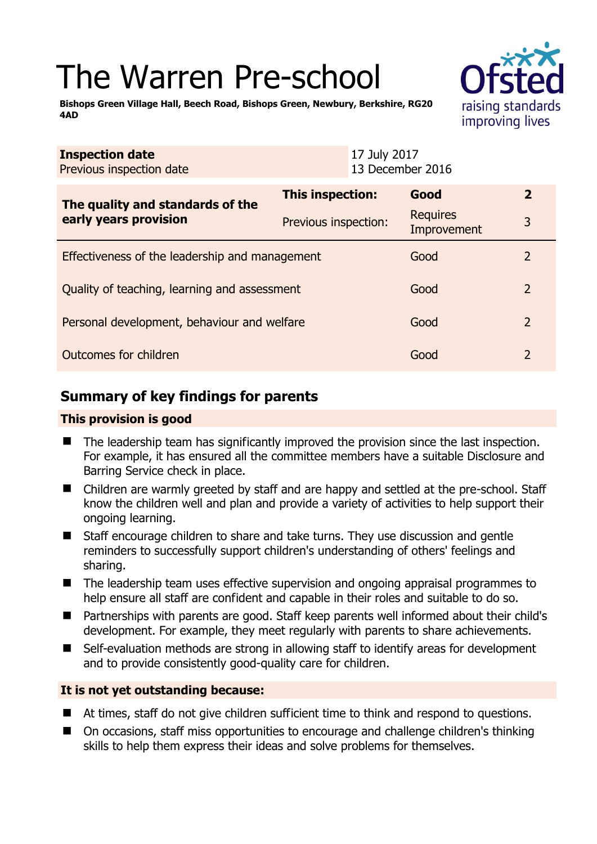# The Warren Pre-school



**Bishops Green Village Hall, Beech Road, Bishops Green, Newbury, Berkshire, RG20 4AD** 

| <b>Inspection date</b><br>Previous inspection date        | 17 July 2017<br>13 December 2016 |                                |                |
|-----------------------------------------------------------|----------------------------------|--------------------------------|----------------|
| The quality and standards of the<br>early years provision | This inspection:                 | Good                           | $\overline{2}$ |
|                                                           | Previous inspection:             | <b>Requires</b><br>Improvement | 3              |
| Effectiveness of the leadership and management            |                                  | Good                           | 2              |
| Quality of teaching, learning and assessment              |                                  | Good                           | $\overline{2}$ |
| Personal development, behaviour and welfare               |                                  | Good                           | $\overline{2}$ |
| Outcomes for children                                     |                                  | Good                           | $\overline{2}$ |

# **Summary of key findings for parents**

## **This provision is good**

- The leadership team has significantly improved the provision since the last inspection. For example, it has ensured all the committee members have a suitable Disclosure and Barring Service check in place.
- Children are warmly greeted by staff and are happy and settled at the pre-school. Staff know the children well and plan and provide a variety of activities to help support their ongoing learning.
- Staff encourage children to share and take turns. They use discussion and gentle reminders to successfully support children's understanding of others' feelings and sharing.
- The leadership team uses effective supervision and ongoing appraisal programmes to help ensure all staff are confident and capable in their roles and suitable to do so.
- Partnerships with parents are good. Staff keep parents well informed about their child's development. For example, they meet regularly with parents to share achievements.
- Self-evaluation methods are strong in allowing staff to identify areas for development and to provide consistently good-quality care for children.

#### **It is not yet outstanding because:**

- At times, staff do not give children sufficient time to think and respond to questions.
- On occasions, staff miss opportunities to encourage and challenge children's thinking skills to help them express their ideas and solve problems for themselves.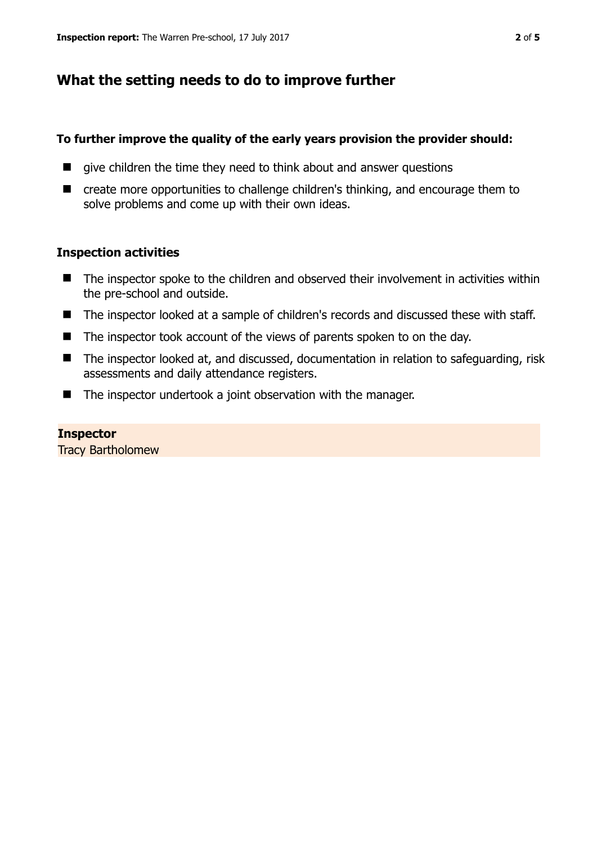# **What the setting needs to do to improve further**

#### **To further improve the quality of the early years provision the provider should:**

- $\blacksquare$  give children the time they need to think about and answer questions
- create more opportunities to challenge children's thinking, and encourage them to solve problems and come up with their own ideas.

## **Inspection activities**

- The inspector spoke to the children and observed their involvement in activities within the pre-school and outside.
- The inspector looked at a sample of children's records and discussed these with staff.
- The inspector took account of the views of parents spoken to on the day.
- The inspector looked at, and discussed, documentation in relation to safeguarding, risk assessments and daily attendance registers.
- The inspector undertook a joint observation with the manager.

**Inspector**  Tracy Bartholomew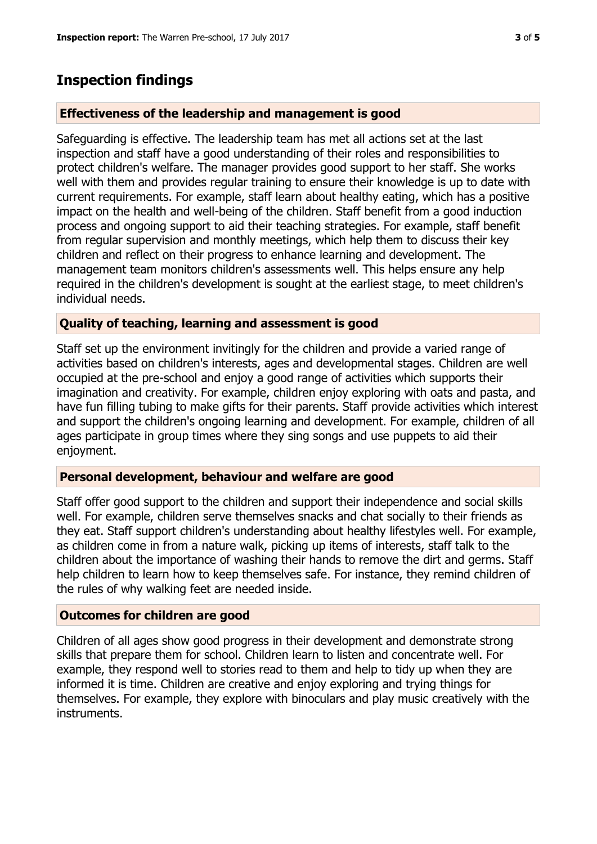# **Inspection findings**

#### **Effectiveness of the leadership and management is good**

Safeguarding is effective. The leadership team has met all actions set at the last inspection and staff have a good understanding of their roles and responsibilities to protect children's welfare. The manager provides good support to her staff. She works well with them and provides regular training to ensure their knowledge is up to date with current requirements. For example, staff learn about healthy eating, which has a positive impact on the health and well-being of the children. Staff benefit from a good induction process and ongoing support to aid their teaching strategies. For example, staff benefit from regular supervision and monthly meetings, which help them to discuss their key children and reflect on their progress to enhance learning and development. The management team monitors children's assessments well. This helps ensure any help required in the children's development is sought at the earliest stage, to meet children's individual needs.

#### **Quality of teaching, learning and assessment is good**

Staff set up the environment invitingly for the children and provide a varied range of activities based on children's interests, ages and developmental stages. Children are well occupied at the pre-school and enjoy a good range of activities which supports their imagination and creativity. For example, children enjoy exploring with oats and pasta, and have fun filling tubing to make gifts for their parents. Staff provide activities which interest and support the children's ongoing learning and development. For example, children of all ages participate in group times where they sing songs and use puppets to aid their enjoyment.

## **Personal development, behaviour and welfare are good**

Staff offer good support to the children and support their independence and social skills well. For example, children serve themselves snacks and chat socially to their friends as they eat. Staff support children's understanding about healthy lifestyles well. For example, as children come in from a nature walk, picking up items of interests, staff talk to the children about the importance of washing their hands to remove the dirt and germs. Staff help children to learn how to keep themselves safe. For instance, they remind children of the rules of why walking feet are needed inside.

## **Outcomes for children are good**

Children of all ages show good progress in their development and demonstrate strong skills that prepare them for school. Children learn to listen and concentrate well. For example, they respond well to stories read to them and help to tidy up when they are informed it is time. Children are creative and enjoy exploring and trying things for themselves. For example, they explore with binoculars and play music creatively with the instruments.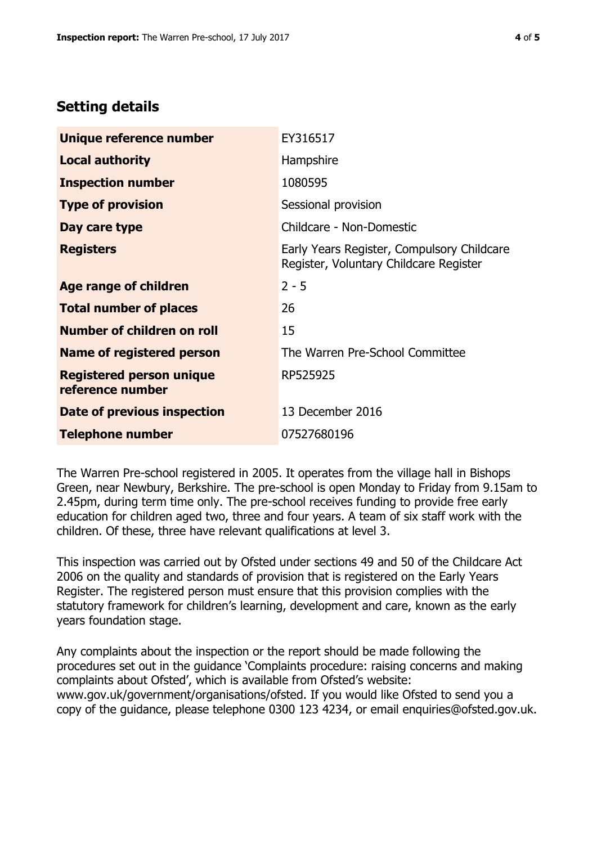## **Setting details**

| Unique reference number                             | EY316517                                                                             |  |
|-----------------------------------------------------|--------------------------------------------------------------------------------------|--|
| <b>Local authority</b>                              | Hampshire                                                                            |  |
| <b>Inspection number</b>                            | 1080595                                                                              |  |
| <b>Type of provision</b>                            | Sessional provision                                                                  |  |
| Day care type                                       | Childcare - Non-Domestic                                                             |  |
| <b>Registers</b>                                    | Early Years Register, Compulsory Childcare<br>Register, Voluntary Childcare Register |  |
| <b>Age range of children</b>                        | $2 - 5$                                                                              |  |
| <b>Total number of places</b>                       | 26                                                                                   |  |
| Number of children on roll                          | 15                                                                                   |  |
| Name of registered person                           | The Warren Pre-School Committee                                                      |  |
| <b>Registered person unique</b><br>reference number | RP525925                                                                             |  |
| Date of previous inspection                         | 13 December 2016                                                                     |  |
| <b>Telephone number</b>                             | 07527680196                                                                          |  |

The Warren Pre-school registered in 2005. It operates from the village hall in Bishops Green, near Newbury, Berkshire. The pre-school is open Monday to Friday from 9.15am to 2.45pm, during term time only. The pre-school receives funding to provide free early education for children aged two, three and four years. A team of six staff work with the children. Of these, three have relevant qualifications at level 3.

This inspection was carried out by Ofsted under sections 49 and 50 of the Childcare Act 2006 on the quality and standards of provision that is registered on the Early Years Register. The registered person must ensure that this provision complies with the statutory framework for children's learning, development and care, known as the early years foundation stage.

Any complaints about the inspection or the report should be made following the procedures set out in the guidance 'Complaints procedure: raising concerns and making complaints about Ofsted', which is available from Ofsted's website: www.gov.uk/government/organisations/ofsted. If you would like Ofsted to send you a copy of the guidance, please telephone 0300 123 4234, or email enquiries@ofsted.gov.uk.